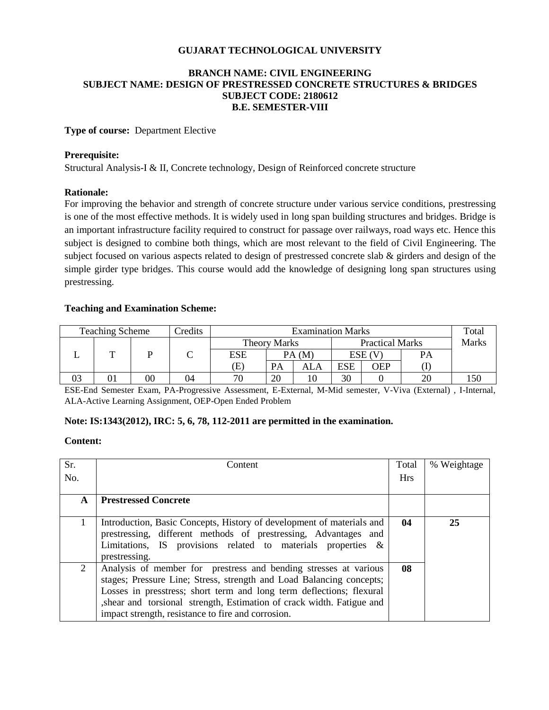# **GUJARAT TECHNOLOGICAL UNIVERSITY**

# **BRANCH NAME: CIVIL ENGINEERING SUBJECT NAME: DESIGN OF PRESTRESSED CONCRETE STRUCTURES & BRIDGES SUBJECT CODE: 2180612 B.E. SEMESTER-VIII**

# **Type of course:** Department Elective

### **Prerequisite:**

Structural Analysis-I & II, Concrete technology, Design of Reinforced concrete structure

### **Rationale:**

For improving the behavior and strength of concrete structure under various service conditions, prestressing is one of the most effective methods. It is widely used in long span building structures and bridges. Bridge is an important infrastructure facility required to construct for passage over railways, road ways etc. Hence this subject is designed to combine both things, which are most relevant to the field of Civil Engineering. The subject focused on various aspects related to design of prestressed concrete slab & girders and design of the simple girder type bridges. This course would add the knowledge of designing long span structures using prestressing.

# **Teaching and Examination Scheme:**

| <b>Teaching Scheme</b><br>Credits |  |    | <b>Examination Marks</b> |                     |       |                        |            | Total |              |  |
|-----------------------------------|--|----|--------------------------|---------------------|-------|------------------------|------------|-------|--------------|--|
|                                   |  |    |                          | <b>Theory Marks</b> |       | <b>Practical Marks</b> |            |       | <b>Marks</b> |  |
|                                   |  |    |                          | ESE                 | PA(M) |                        | ESE (V     |       | PА           |  |
|                                   |  |    |                          | Œ                   | PA    | ALA                    | <b>ESE</b> | OEP   |              |  |
| 03                                |  | 00 | 04                       | 70                  | 20    |                        | 30         |       | 20           |  |

ESE-End Semester Exam, PA-Progressive Assessment, E-External, M-Mid semester, V-Viva (External) , I-Internal, ALA-Active Learning Assignment, OEP-Open Ended Problem

# **Note: IS:1343(2012), IRC: 5, 6, 78, 112-2011 are permitted in the examination.**

### **Content:**

| Sr.          | Content                                                                                                                                  | Total      | % Weightage |
|--------------|------------------------------------------------------------------------------------------------------------------------------------------|------------|-------------|
| No.          |                                                                                                                                          | <b>Hrs</b> |             |
| $\mathbf{A}$ | <b>Prestressed Concrete</b>                                                                                                              |            |             |
|              |                                                                                                                                          |            |             |
| $\mathbf{1}$ | Introduction, Basic Concepts, History of development of materials and<br>prestressing, different methods of prestressing, Advantages and | 04         | 25          |
|              | Limitations, IS provisions related to materials properties $\&$                                                                          |            |             |
|              | prestressing.                                                                                                                            |            |             |
| 2            | Analysis of member for prestress and bending stresses at various                                                                         | 08         |             |
|              | stages; Pressure Line; Stress, strength and Load Balancing concepts;                                                                     |            |             |
|              | Losses in presstress; short term and long term deflections; flexural                                                                     |            |             |
|              | , shear and torsional strength, Estimation of crack width. Fatigue and                                                                   |            |             |
|              | impact strength, resistance to fire and corrosion.                                                                                       |            |             |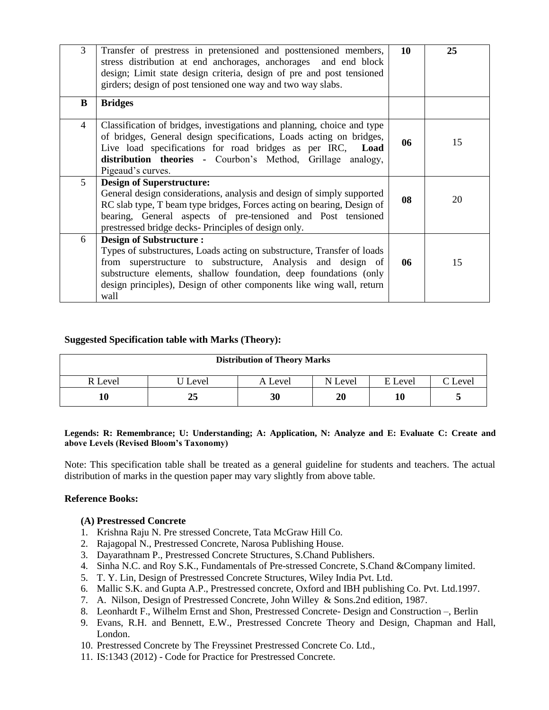| 3 | Transfer of prestress in pretensioned and posttensioned members,<br>stress distribution at end anchorages, anchorages and end block<br>design; Limit state design criteria, design of pre and post tensioned<br>girders; design of post tensioned one way and two way slabs.                                                   | 10 | 25 |
|---|--------------------------------------------------------------------------------------------------------------------------------------------------------------------------------------------------------------------------------------------------------------------------------------------------------------------------------|----|----|
| B | <b>Bridges</b>                                                                                                                                                                                                                                                                                                                 |    |    |
| 4 | Classification of bridges, investigations and planning, choice and type<br>of bridges, General design specifications, Loads acting on bridges,<br>Live load specifications for road bridges as per IRC,<br>Load<br>distribution theories - Courbon's Method, Grillage analogy,<br>Pigeaud's curves.                            | 06 | 15 |
| 5 | <b>Design of Superstructure:</b><br>General design considerations, analysis and design of simply supported<br>RC slab type, T beam type bridges, Forces acting on bearing, Design of<br>bearing, General aspects of pre-tensioned and Post tensioned<br>prestressed bridge decks- Principles of design only.                   | 08 | 20 |
| 6 | <b>Design of Substructure:</b><br>Types of substructures, Loads acting on substructure, Transfer of loads<br>from superstructure to substructure, Analysis and design of<br>substructure elements, shallow foundation, deep foundations (only<br>design principles), Design of other components like wing wall, return<br>wall | 06 | 15 |

# **Suggested Specification table with Marks (Theory):**

| <b>Distribution of Theory Marks</b> |         |         |           |         |         |  |  |
|-------------------------------------|---------|---------|-----------|---------|---------|--|--|
| R Level                             | J Level | A Level | N Level   | E Level | C Level |  |  |
|                                     | 25      | 30      | <b>20</b> | 10      |         |  |  |

#### **Legends: R: Remembrance; U: Understanding; A: Application, N: Analyze and E: Evaluate C: Create and above Levels (Revised Bloom's Taxonomy)**

Note: This specification table shall be treated as a general guideline for students and teachers. The actual distribution of marks in the question paper may vary slightly from above table.

#### **Reference Books:**

#### **(A) Prestressed Concrete**

- 1. Krishna Raju N. Pre stressed Concrete, Tata McGraw Hill Co.
- 2. Rajagopal N., Prestressed Concrete, Narosa Publishing House.
- 3. Dayarathnam P., Prestressed Concrete Structures, S.Chand Publishers.
- 4. Sinha N.C. and Roy S.K., Fundamentals of Pre-stressed Concrete, S.Chand &Company limited.
- 5. T. Y. Lin, Design of Prestressed Concrete Structures, Wiley India Pvt. Ltd.
- 6. Mallic S.K. and Gupta A.P., Prestressed concrete, Oxford and IBH publishing Co. Pvt. Ltd.1997.
- 7. A. Nilson, Design of Prestressed Concrete, John Willey & Sons.2nd edition, 1987.
- 8. Leonhardt F., Wilhelm Ernst and Shon, Prestressed Concrete- Design and Construction –, Berlin
- 9. Evans, R.H. and Bennett, E.W., Prestressed Concrete Theory and Design, Chapman and Hall, London.
- 10. Prestressed Concrete by The Freyssinet Prestressed Concrete Co. Ltd.,
- 11. IS:1343 (2012) Code for Practice for Prestressed Concrete.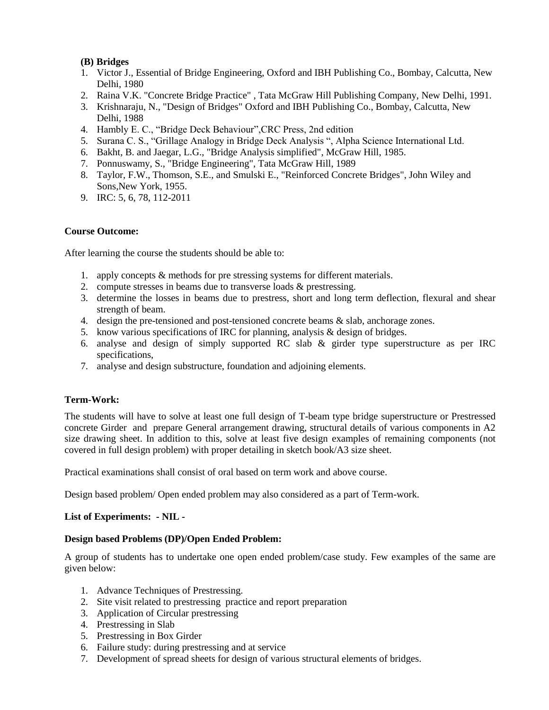# **(B) Bridges**

- 1. Victor J., Essential of Bridge Engineering, Oxford and IBH Publishing Co., Bombay, Calcutta, New Delhi, 1980
- 2. Raina V.K. "Concrete Bridge Practice" , Tata McGraw Hill Publishing Company, New Delhi, 1991.
- 3. Krishnaraju, N., "Design of Bridges" Oxford and IBH Publishing Co., Bombay, Calcutta, New Delhi, 1988
- 4. Hambly E. C., "Bridge Deck Behaviour",CRC Press, 2nd edition
- 5. Surana C. S., "Grillage Analogy in Bridge Deck Analysis ", Alpha Science International Ltd.
- 6. Bakht, B. and Jaegar, L.G., "Bridge Analysis simplified", McGraw Hill, 1985.
- 7. Ponnuswamy, S., "Bridge Engineering", Tata McGraw Hill, 1989
- 8. Taylor, F.W., Thomson, S.E., and Smulski E., "Reinforced Concrete Bridges", John Wiley and Sons,New York, 1955.
- 9. IRC: 5, 6, 78, 112-2011

# **Course Outcome:**

After learning the course the students should be able to:

- 1. apply concepts & methods for pre stressing systems for different materials.
- 2. compute stresses in beams due to transverse loads & prestressing.
- 3. determine the losses in beams due to prestress, short and long term deflection, flexural and shear strength of beam.
- 4. design the pre-tensioned and post-tensioned concrete beams & slab, anchorage zones.
- 5. know various specifications of IRC for planning, analysis & design of bridges.
- 6. analyse and design of simply supported RC slab & girder type superstructure as per IRC specifications,
- 7. analyse and design substructure, foundation and adjoining elements.

# **Term-Work:**

The students will have to solve at least one full design of T-beam type bridge superstructure or Prestressed concrete Girder and prepare General arrangement drawing, structural details of various components in A2 size drawing sheet. In addition to this, solve at least five design examples of remaining components (not covered in full design problem) with proper detailing in sketch book/A3 size sheet.

Practical examinations shall consist of oral based on term work and above course.

Design based problem/ Open ended problem may also considered as a part of Term-work.

# **List of Experiments: - NIL -**

# **Design based Problems (DP)/Open Ended Problem:**

A group of students has to undertake one open ended problem/case study. Few examples of the same are given below:

- 1. Advance Techniques of Prestressing.
- 2. Site visit related to prestressing practice and report preparation
- 3. Application of Circular prestressing
- 4. Prestressing in Slab
- 5. Prestressing in Box Girder
- 6. Failure study: during prestressing and at service
- 7. Development of spread sheets for design of various structural elements of bridges.